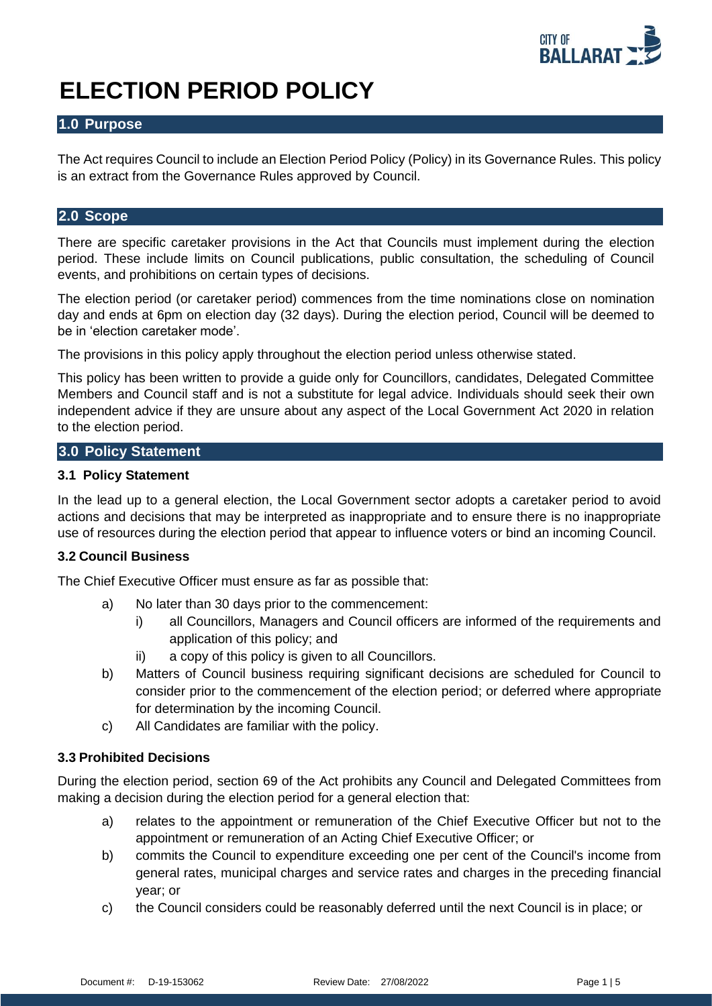

# **ELECTION PERIOD POLICY**

# **1.0 Purpose**

The Act requires Council to include an Election Period Policy (Policy) in its Governance Rules. This policy is an extract from the Governance Rules approved by Council.

# **2.0 Scope**

There are specific caretaker provisions in the Act that Councils must implement during the election period. These include limits on Council publications, public consultation, the scheduling of Council events, and prohibitions on certain types of decisions.

The election period (or caretaker period) commences from the time nominations close on nomination day and ends at 6pm on election day (32 days). During the election period, Council will be deemed to be in 'election caretaker mode'.

The provisions in this policy apply throughout the election period unless otherwise stated.

This policy has been written to provide a guide only for Councillors, candidates, Delegated Committee Members and Council staff and is not a substitute for legal advice. Individuals should seek their own independent advice if they are unsure about any aspect of the Local Government Act 2020 in relation to the election period.

## **3.0 Policy Statement**

#### **3.1 Policy Statement**

In the lead up to a general election, the Local Government sector adopts a caretaker period to avoid actions and decisions that may be interpreted as inappropriate and to ensure there is no inappropriate use of resources during the election period that appear to influence voters or bind an incoming Council.

## **3.2 Council Business**

The Chief Executive Officer must ensure as far as possible that:

- a) No later than 30 days prior to the commencement:
	- i) all Councillors, Managers and Council officers are informed of the requirements and application of this policy; and
	- ii) a copy of this policy is given to all Councillors.
- b) Matters of Council business requiring significant decisions are scheduled for Council to consider prior to the commencement of the election period; or deferred where appropriate for determination by the incoming Council.
- c) All Candidates are familiar with the policy.

## **3.3 Prohibited Decisions**

During the election period, section 69 of the Act prohibits any Council and Delegated Committees from making a decision during the election period for a general election that:

- a) relates to the appointment or remuneration of the Chief Executive Officer but not to the appointment or remuneration of an Acting Chief Executive Officer; or
- b) commits the Council to expenditure exceeding one per cent of the Council's income from general rates, municipal charges and service rates and charges in the preceding financial year; or
- c) the Council considers could be reasonably deferred until the next Council is in place; or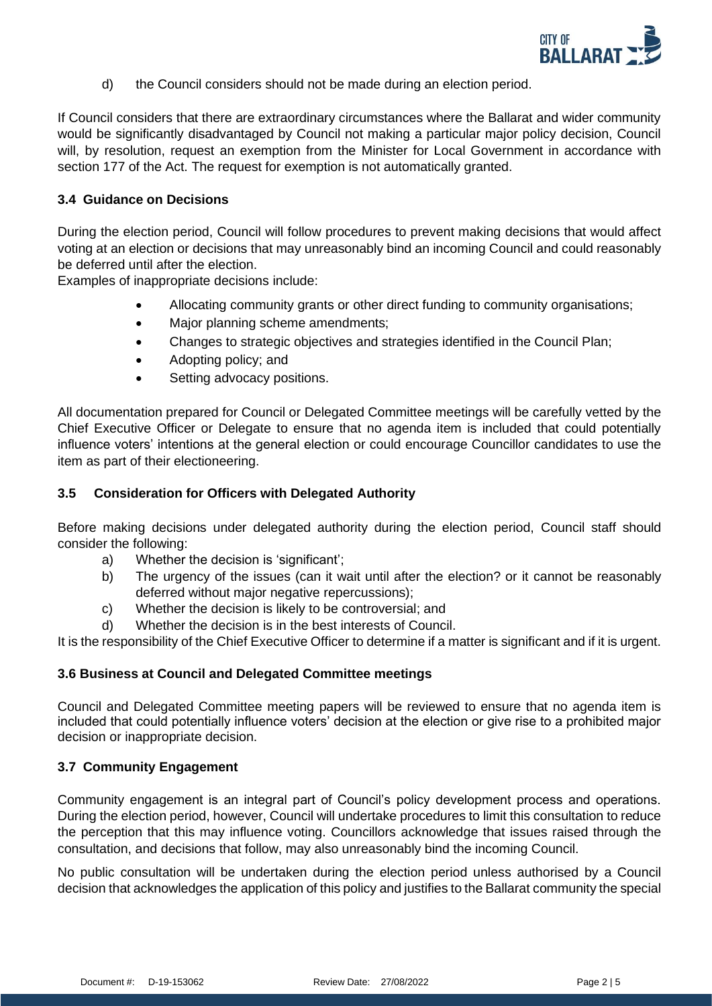

d) the Council considers should not be made during an election period.

If Council considers that there are extraordinary circumstances where the Ballarat and wider community would be significantly disadvantaged by Council not making a particular major policy decision, Council will, by resolution, request an exemption from the Minister for Local Government in accordance with section 177 of the Act. The request for exemption is not automatically granted.

#### **3.4 Guidance on Decisions**

During the election period, Council will follow procedures to prevent making decisions that would affect voting at an election or decisions that may unreasonably bind an incoming Council and could reasonably be deferred until after the election.

Examples of inappropriate decisions include:

- Allocating community grants or other direct funding to community organisations;
- Major planning scheme amendments;
- Changes to strategic objectives and strategies identified in the Council Plan;
- Adopting policy; and
- Setting advocacy positions.

All documentation prepared for Council or Delegated Committee meetings will be carefully vetted by the Chief Executive Officer or Delegate to ensure that no agenda item is included that could potentially influence voters' intentions at the general election or could encourage Councillor candidates to use the item as part of their electioneering.

#### **3.5 Consideration for Officers with Delegated Authority**

Before making decisions under delegated authority during the election period, Council staff should consider the following:

- a) Whether the decision is 'significant';
- b) The urgency of the issues (can it wait until after the election? or it cannot be reasonably deferred without major negative repercussions);
- c) Whether the decision is likely to be controversial; and
- d) Whether the decision is in the best interests of Council.

It is the responsibility of the Chief Executive Officer to determine if a matter is significant and if it is urgent.

#### **3.6 Business at Council and Delegated Committee meetings**

Council and Delegated Committee meeting papers will be reviewed to ensure that no agenda item is included that could potentially influence voters' decision at the election or give rise to a prohibited major decision or inappropriate decision.

#### **3.7 Community Engagement**

Community engagement is an integral part of Council's policy development process and operations. During the election period, however, Council will undertake procedures to limit this consultation to reduce the perception that this may influence voting. Councillors acknowledge that issues raised through the consultation, and decisions that follow, may also unreasonably bind the incoming Council.

No public consultation will be undertaken during the election period unless authorised by a Council decision that acknowledges the application of this policy and justifies to the Ballarat community the special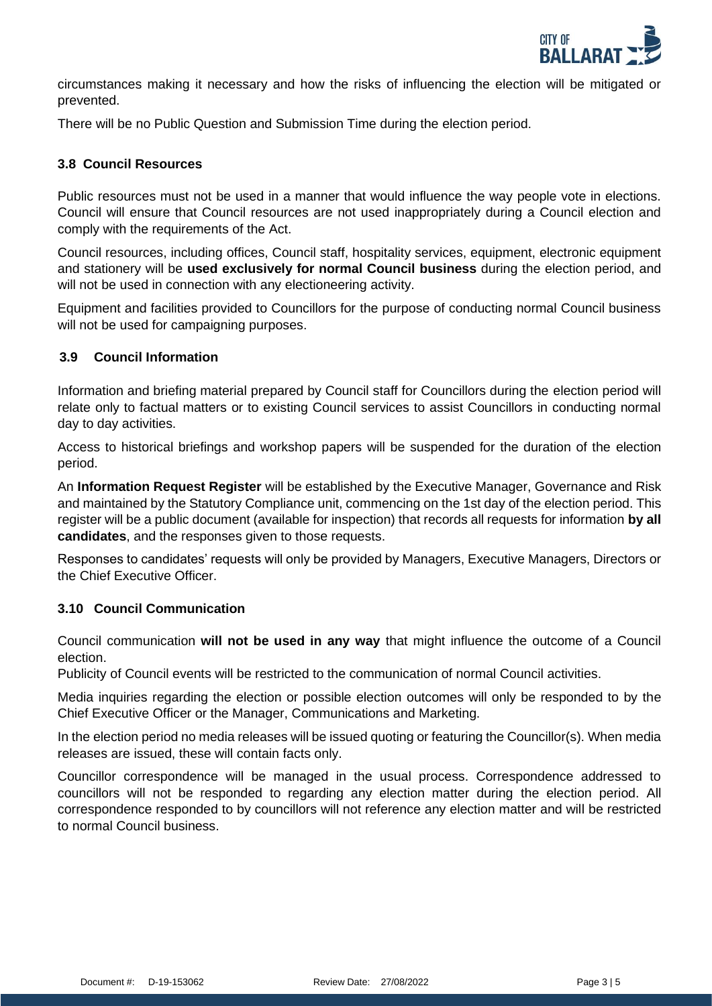

circumstances making it necessary and how the risks of influencing the election will be mitigated or prevented.

There will be no Public Question and Submission Time during the election period.

#### **3.8 Council Resources**

Public resources must not be used in a manner that would influence the way people vote in elections. Council will ensure that Council resources are not used inappropriately during a Council election and comply with the requirements of the Act.

Council resources, including offices, Council staff, hospitality services, equipment, electronic equipment and stationery will be **used exclusively for normal Council business** during the election period, and will not be used in connection with any electioneering activity.

Equipment and facilities provided to Councillors for the purpose of conducting normal Council business will not be used for campaigning purposes.

#### **3.9 Council Information**

Information and briefing material prepared by Council staff for Councillors during the election period will relate only to factual matters or to existing Council services to assist Councillors in conducting normal day to day activities.

Access to historical briefings and workshop papers will be suspended for the duration of the election period.

An **Information Request Register** will be established by the Executive Manager, Governance and Risk and maintained by the Statutory Compliance unit, commencing on the 1st day of the election period. This register will be a public document (available for inspection) that records all requests for information **by all candidates**, and the responses given to those requests.

Responses to candidates' requests will only be provided by Managers, Executive Managers, Directors or the Chief Executive Officer.

#### **3.10 Council Communication**

Council communication **will not be used in any way** that might influence the outcome of a Council election.

Publicity of Council events will be restricted to the communication of normal Council activities.

Media inquiries regarding the election or possible election outcomes will only be responded to by the Chief Executive Officer or the Manager, Communications and Marketing.

In the election period no media releases will be issued quoting or featuring the Councillor(s). When media releases are issued, these will contain facts only.

Councillor correspondence will be managed in the usual process. Correspondence addressed to councillors will not be responded to regarding any election matter during the election period. All correspondence responded to by councillors will not reference any election matter and will be restricted to normal Council business.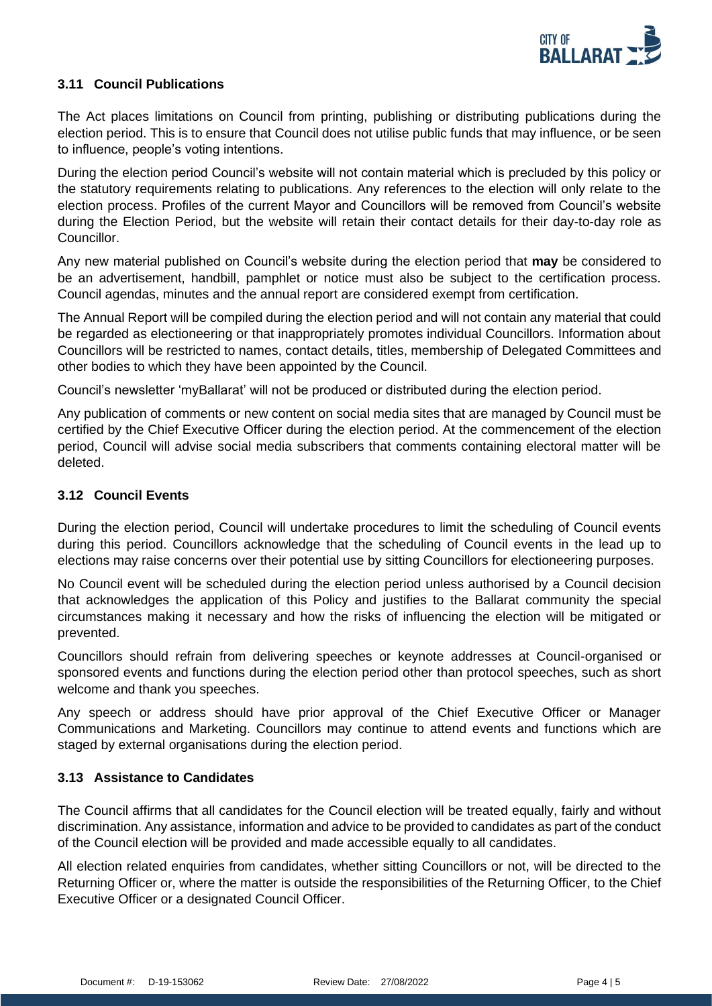

## **3.11 Council Publications**

The Act places limitations on Council from printing, publishing or distributing publications during the election period. This is to ensure that Council does not utilise public funds that may influence, or be seen to influence, people's voting intentions.

During the election period Council's website will not contain material which is precluded by this policy or the statutory requirements relating to publications. Any references to the election will only relate to the election process. Profiles of the current Mayor and Councillors will be removed from Council's website during the Election Period, but the website will retain their contact details for their day-to-day role as Councillor.

Any new material published on Council's website during the election period that **may** be considered to be an advertisement, handbill, pamphlet or notice must also be subject to the certification process. Council agendas, minutes and the annual report are considered exempt from certification.

The Annual Report will be compiled during the election period and will not contain any material that could be regarded as electioneering or that inappropriately promotes individual Councillors. Information about Councillors will be restricted to names, contact details, titles, membership of Delegated Committees and other bodies to which they have been appointed by the Council.

Council's newsletter 'myBallarat' will not be produced or distributed during the election period.

Any publication of comments or new content on social media sites that are managed by Council must be certified by the Chief Executive Officer during the election period. At the commencement of the election period, Council will advise social media subscribers that comments containing electoral matter will be deleted.

#### **3.12 Council Events**

During the election period, Council will undertake procedures to limit the scheduling of Council events during this period. Councillors acknowledge that the scheduling of Council events in the lead up to elections may raise concerns over their potential use by sitting Councillors for electioneering purposes.

No Council event will be scheduled during the election period unless authorised by a Council decision that acknowledges the application of this Policy and justifies to the Ballarat community the special circumstances making it necessary and how the risks of influencing the election will be mitigated or prevented.

Councillors should refrain from delivering speeches or keynote addresses at Council-organised or sponsored events and functions during the election period other than protocol speeches, such as short welcome and thank you speeches.

Any speech or address should have prior approval of the Chief Executive Officer or Manager Communications and Marketing. Councillors may continue to attend events and functions which are staged by external organisations during the election period.

#### **3.13 Assistance to Candidates**

The Council affirms that all candidates for the Council election will be treated equally, fairly and without discrimination. Any assistance, information and advice to be provided to candidates as part of the conduct of the Council election will be provided and made accessible equally to all candidates.

All election related enquiries from candidates, whether sitting Councillors or not, will be directed to the Returning Officer or, where the matter is outside the responsibilities of the Returning Officer, to the Chief Executive Officer or a designated Council Officer.